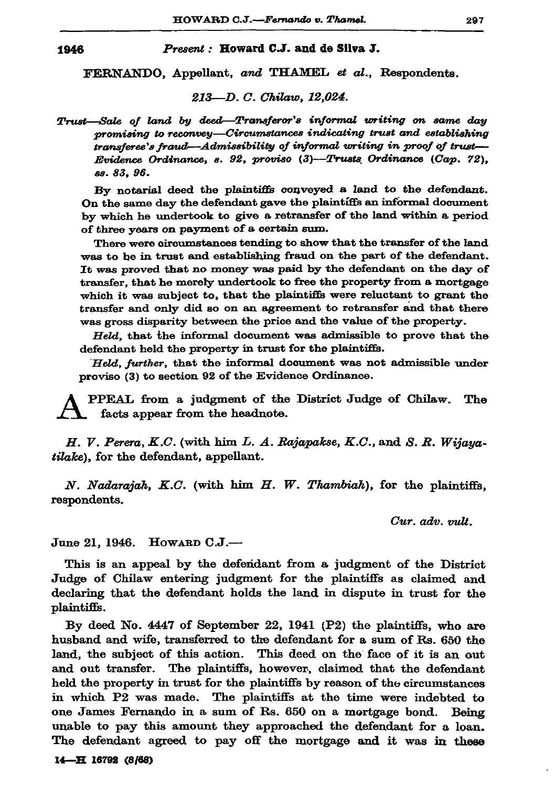## Present: Howard C.J. and de Silva J.

FERNANDO, Appellant, and THAMEL et al., Respondents.

## 213-D. C. Chilaw, 12,024.

Trust-Sale of land by deed-Transferor's informal writing on same day promising to reconvey—Circumstances indicating trust and establishing transferee's fraud—Admissibility of informal writing in proof of trust— Evidence Ordinance, s. 92, proviso  $(3)$ -Trusts Ordinance  $(Cap. 72)$ , вв. 83. 96.

By notarial deed the plaintiffs conveyed a land to the defendant. On the same day the defendant gave the plaintiffs an informal document by which he undertook to give a retransfer of the land within a period of three years on payment of a certain sum.

There were circumstances tending to show that the transfer of the land was to be in trust and establishing fraud on the part of the defendant. It was proved that no money was paid by the defendant on the day of transfer, that he merely undertook to free the property from a mortgage which it was subject to, that the plaintiffs were reluctant to grant the transfer and only did so on an agreement to retransfer and that there was gross disparity between the price and the value of the property.

Held, that the informal document was admissible to prove that the defendant held the property in trust for the plaintiffs.

Held, further, that the informal document was not admissible under proviso (3) to section 92 of the Evidence Ordinance.

PPEAL from a judgment of the District Judge of Chilaw. The facts appear from the headnote.

H. V. Perera, K.C. (with him L. A. Rajapakse, K.C., and S. R. Wijayatilake), for the defendant, appellant.

N. Nadarajah, K.C. (with him H. W. Thambiah), for the plaintiffs, respondents.

 $Cur.$   $adv.$   $\nu u$ ,

June 21, 1946.  $How$ ard  $C.J.$ —

This is an appeal by the defendant from a judgment of the District Judge of Chilaw entering judgment for the plaintiffs as claimed and declaring that the defendant holds the land in dispute in trust for the plaintiffs.

By deed No.  $4447$  of September 22, 1941 (P2) the plaintiffs, who are husband and wife, transferred to the defendant for a sum of Rs. 650 the land, the subject of this action. This deed on the face of it is an out and out transfer. The plaintiffs, however, claimed that the defendant held the property in trust for the plaintiffs by reason of the circumstances in which P2 was made. The plaintiffs at the time were indebted to one James Fernando in a sum of Rs. 650 on a mortgage bond. Being unable to pay this amount they approached the defendant for a loan. The defendant agreed to pay off the mortgage and it was in these

14-H 16792 (8/68)

1946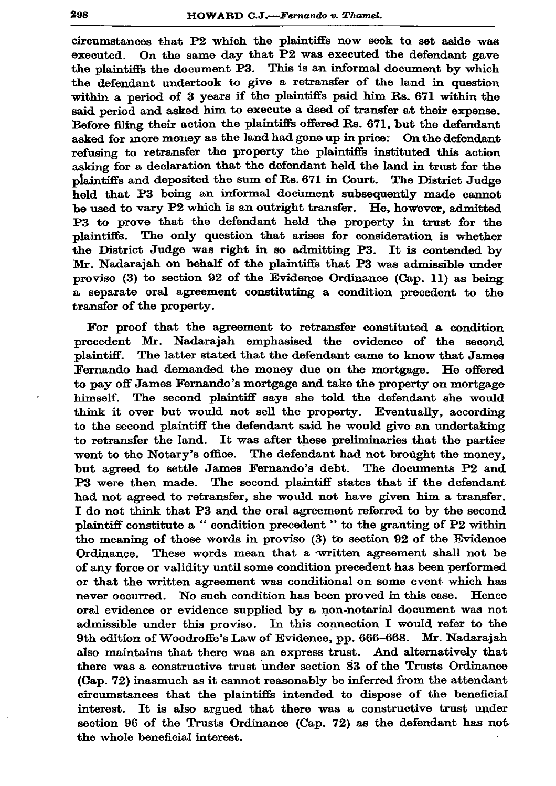circumstances that P2 which the plaintiffs now seek to set aside was executed. On the same day that P2 was executed the defendant gave the plaintiffs the document P3. This is an informal document by which the defendant undertook to give a retransfer of the land in question within a period of 3 years if the plaintiffs paid him Rs. 671 within the said period and asked him to execute a deed of transfer at their expense. Before filing their action the plaintiffs offered Rs. 671, but the defendant asked for more money as the land had gone up in price: On the defendant refusing to retransfer the property the plaintiffs instituted this action asking for a declaration that the defendant held the land in trust for the plaintiffs and deposited the sum of Rs. 671 in Court. The District Judge held that P3 being an informal document subsequently made cannot be used to vary P2 which is an outright transfer. He, however, admitted P3 to prove that the defendant held the property in trust for the The only question that arises for consideration is whether plaintiffs. the District Judge was right in so admitting P3. It is contended by Mr. Nadarajah on behalf of the plaintiffs that P3 was admissible under proviso (3) to section 92 of the Evidence Ordinance (Cap. 11) as being a separate oral agreement constituting a condition precedent to the transfer of the property.

For proof that the agreement to retransfer constituted a condition precedent Mr. Nadarajah emphasised the evidence of the second The latter stated that the defendant came to know that James plaintiff. Fernando had demanded the money due on the mortgage. He offered to pay off James Fernando's mortgage and take the property on mortgage himself. The second plaintiff says she told the defendant she would think it over but would not sell the property. Eventually, according to the second plaintiff the defendant said he would give an undertaking to retransfer the land. It was after these preliminaries that the parties went to the Notary's office. The defendant had not brought the money, but agreed to settle James Fernando's debt. The documents P2 and P3 were then made. The second plaintiff states that if the defendant had not agreed to retransfer, she would not have given him a transfer. I do not think that P3 and the oral agreement referred to by the second plaintiff constitute a "condition precedent" to the granting of P2 within the meaning of those words in proviso (3) to section 92 of the Evidence Ordinance. These words mean that a written agreement shall not be of any force or validity until some condition precedent has been performed or that the written agreement was conditional on some event which has never occurred. No such condition has been proved in this case. Hence oral evidence or evidence supplied by a non-notarial document was not admissible under this proviso. In this connection I would refer to the 9th edition of Woodroffe's Law of Evidence, pp. 666-668. Mr. Nadarajah also maintains that there was an express trust. And alternatively that there was a constructive trust under section 83 of the Trusts Ordinance (Cap. 72) inasmuch as it cannot reasonably be inferred from the attendant circumstances that the plaintiffs intended to dispose of the beneficial interest. It is also argued that there was a constructive trust under section 96 of the Trusts Ordinance (Cap. 72) as the defendant has not the whole beneficial interest.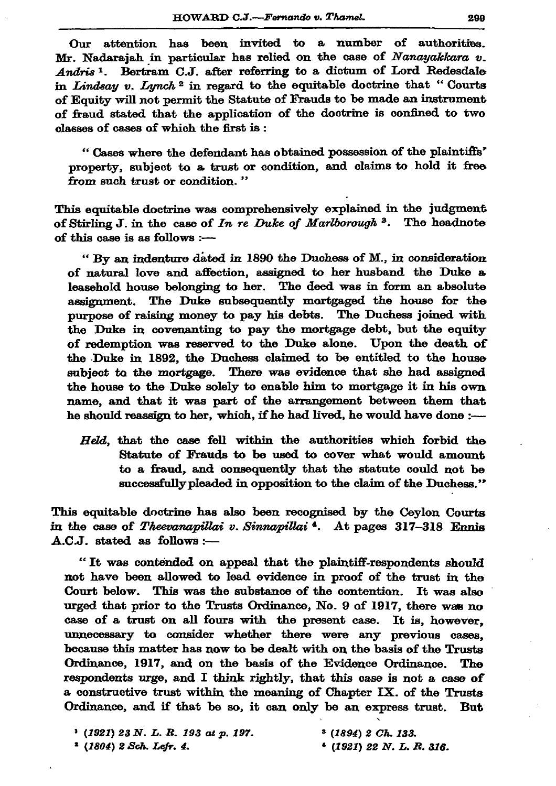Our attention has been invited to a number of authorities. Mr. Nadarajah in particular has relied on the case of Nanayakkara v. Andris<sup>1</sup>. Bertram C.J. after referring to a dictum of Lord Redesdale in Lindsay v. Lynch<sup>2</sup> in regard to the equitable doctrine that "Courts" of Equity will not permit the Statute of Frauds to be made an instrument of fraud stated that the application of the doctrine is confined to two classes of cases of which the first is:

"Cases where the defendant has obtained possession of the plaintiffs' property, subject to a trust or condition, and claims to hold it free from such trust or condition."

This equitable doctrine was comprehensively explained in the judgment of Stirling J. in the case of In re Duke of Marlborough <sup>3</sup>. The headnote of this case is as follows :-

"By an indenture dated in 1890 the Duchess of M., in consideration of natural love and affection, assigned to her husband the Duke a leasehold house belonging to her. The deed was in form an absolute assignment. The Duke subsequently mortgaged the house for the purpose of raising money to pay his debts. The Duchess joined with the Duke in covenanting to pay the mortgage debt, but the equity of redemption was reserved to the Duke alone. Upon the death of the Duke in 1892, the Duchess claimed to be entitled to the house subject to the mortgage. There was evidence that she had assigned the house to the Duke solely to enable him to mortgage it in his own name, and that it was part of the arrangement between them that he should reassign to her, which, if he had lived, he would have done :-

Held, that the case fell within the authorities which forbid the Statute of Frauds to be used to cover what would amount to a fraud, and consequently that the statute could not be successfully pleaded in opposition to the claim of the Duchess."

This equitable doctrine has also been recognised by the Ceylon Courts in the case of Theevanapillai v. Sinnapillai<sup>4</sup>. At pages 317-318 Ennis A.C.J. stated as follows :-

"It was contended on appeal that the plaintiff-respondents should not have been allowed to lead evidence in proof of the trust in the Court below. This was the substance of the contention. It was also urged that prior to the Trusts Ordinance, No. 9 of 1917, there was no case of a trust on all fours with the present case. It is, however, unnecessary to consider whether there were any previous cases. because this matter has now to be dealt with on the basis of the Trusts Ordinance, 1917, and on the basis of the Evidence Ordinance. The respondents urge, and I think rightly, that this case is not a case of a constructive trust within the meaning of Chapter IX. of the Trusts Ordinance, and if that be so, it can only be an express trust. **But** 

| $P(1921)$ 23 N. L. R. 193 at p. 197. | $3(1894)$ 2 Ch. 133.    |
|--------------------------------------|-------------------------|
| * (1804) 2 Sch. Lefr. 4.             | $(1921)$ 22 N.L.R. 316. |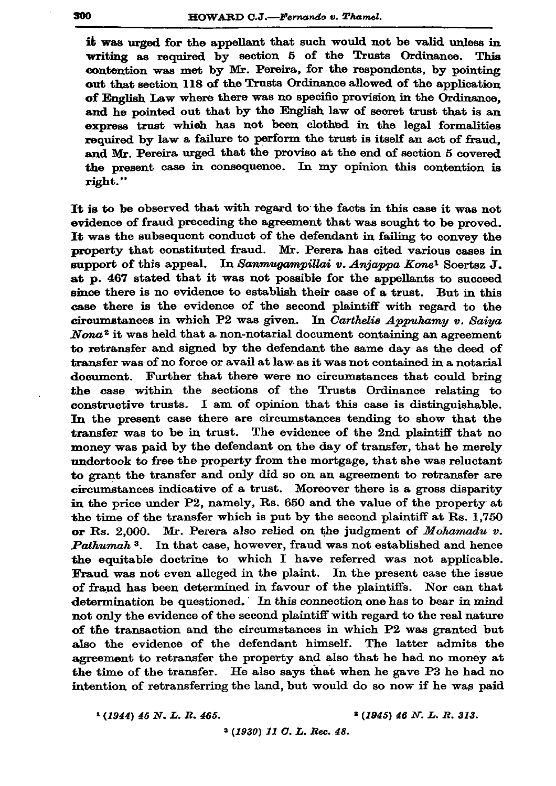it was urged for the appellant that such would not be valid unless in writing as required by section 5 of the Trusts Ordinance. **This** contention was met by Mr. Pereira, for the respondents, by pointing out that section 118 of the Trusts Ordinance allowed of the application of English Law where there was no specific provision in the Ordinance. and he pointed out that by the English law of secret trust that is an express trust which has not been clothed in the legal formalities required by law a failure to perform the trust is itself an act of fraud. and Mr. Pereira urged that the proviso at the end of section 5 covered the present case in consequence. In my opinion this contention is right."

It is to be observed that with regard to the facts in this case it was not evidence of fraud preceding the agreement that was sought to be proved. It was the subsequent conduct of the defendant in failing to convey the property that constituted fraud. Mr. Perera has cited various cases in support of this appeal. In Sanmugampillai v. Anjappa Kone<sup>1</sup> Soertsz J. at p. 467 stated that it was not possible for the appellants to succeed since there is no evidence to establish their case of a trust. But in this case there is the evidence of the second plaintiff with regard to the circumstances in which P2 was given. In Carthelis Appuhamy v. Saiya Nona<sup>2</sup> it was held that a non-notarial document containing an agreement to retransfer and signed by the defendant the same day as the deed of transfer was of no force or avail at law as it was not contained in a notarial document. Further that there were no circumstances that could bring the case within the sections of the Trusts Ordinance relating to constructive trusts. I am of opinion that this case is distinguishable. In the present case there are circumstances tending to show that the transfer was to be in trust. The evidence of the 2nd plaintiff that no money was paid by the defendant on the day of transfer, that he merely undertook to free the property from the mortgage, that she was reluctant to grant the transfer and only did so on an agreement to retransfer are circumstances indicative of a trust. Moreover there is a gross disparity in the price under P2, namely, Rs. 650 and the value of the property at the time of the transfer which is put by the second plaintiff at Rs. 1,750 or Rs. 2.000. Mr. Perera also relied on the judgment of  $Mohamadu v$ . Pathumah<sup>3</sup>. In that case, however, fraud was not established and hence the equitable doctrine to which I have referred was not applicable. Fraud was not even alleged in the plaint. In the present case the issue of fraud has been determined in favour of the plaintiffs. Nor can that determination be questioned. In this connection one has to bear in mind not only the evidence of the second plaintiff with regard to the real nature of the transaction and the circumstances in which P2 was granted but also the evidence of the defendant himself. The latter admits the agreement to retransfer the property and also that he had no money at the time of the transfer. He also says that when he gave P3 he had no intention of retransferring the land, but would do so now if he was paid

 $(1944)$  45 N. L. R. 465.

 $2(1945)$  46 N. L. R. 313.